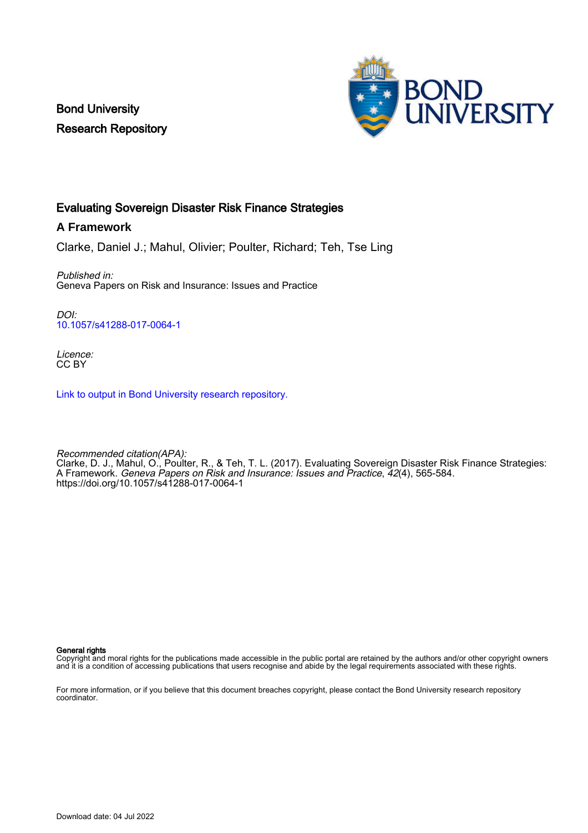Bond University Research Repository



# Evaluating Sovereign Disaster Risk Finance Strategies

# **A Framework**

Clarke, Daniel J.; Mahul, Olivier; Poulter, Richard; Teh, Tse Ling

Published in: Geneva Papers on Risk and Insurance: Issues and Practice

 $D$  $O$ [10.1057/s41288-017-0064-1](https://doi.org/10.1057/s41288-017-0064-1)

Licence: CC BY

[Link to output in Bond University research repository.](https://research.bond.edu.au/en/publications/695ab494-0637-4f11-acc5-9a41200ecfcb)

Recommended citation(APA): Clarke, D. J., Mahul, O., Poulter, R., & Teh, T. L. (2017). Evaluating Sovereign Disaster Risk Finance Strategies: A Framework. Geneva Papers on Risk and Insurance: Issues and Practice, 42(4), 565-584. <https://doi.org/10.1057/s41288-017-0064-1>

#### General rights

Copyright and moral rights for the publications made accessible in the public portal are retained by the authors and/or other copyright owners and it is a condition of accessing publications that users recognise and abide by the legal requirements associated with these rights.

For more information, or if you believe that this document breaches copyright, please contact the Bond University research repository coordinator.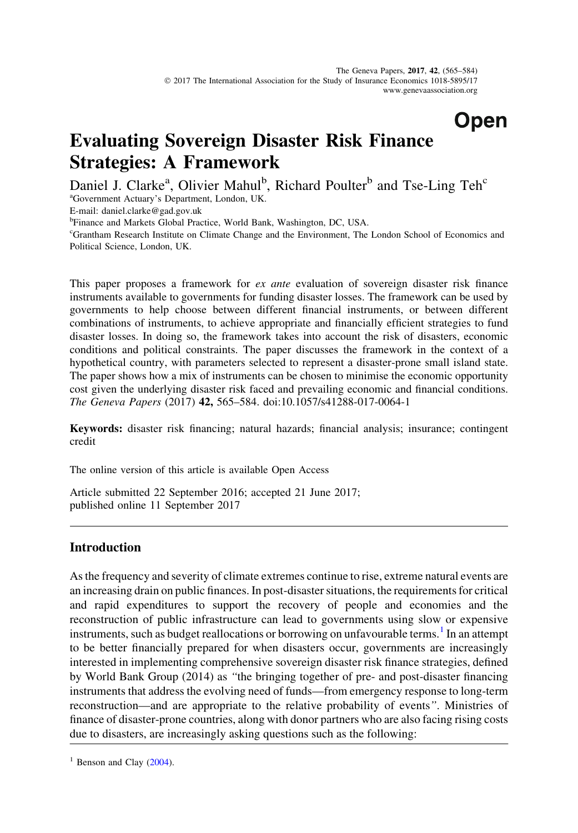**Open** 

# <span id="page-1-0"></span>Evaluating Sovereign Disaster Risk Finance Strategies: A Framework

Daniel J. Clarke<sup>a</sup>, Olivier Mahul<sup>b</sup>, Richard Poulter<sup>b</sup> and Tse-Ling Teh<sup>c</sup>

a Government Actuary's Department, London, UK.

E-mail: daniel.clarke@gad.gov.uk

b Finance and Markets Global Practice, World Bank, Washington, DC, USA.

c Grantham Research Institute on Climate Change and the Environment, The London School of Economics and Political Science, London, UK.

This paper proposes a framework for *ex ante* evaluation of sovereign disaster risk finance instruments available to governments for funding disaster losses. The framework can be used by governments to help choose between different financial instruments, or between different combinations of instruments, to achieve appropriate and financially efficient strategies to fund disaster losses. In doing so, the framework takes into account the risk of disasters, economic conditions and political constraints. The paper discusses the framework in the context of a hypothetical country, with parameters selected to represent a disaster-prone small island state. The paper shows how a mix of instruments can be chosen to minimise the economic opportunity cost given the underlying disaster risk faced and prevailing economic and financial conditions. The Geneva Papers (2017) 42, 565–584. doi:10.1057/s41288-017-0064-1

Keywords: disaster risk financing; natural hazards; financial analysis; insurance; contingent credit

The online version of this article is available Open Access

Article submitted 22 September 2016; accepted 21 June 2017; published online 11 September 2017

## Introduction

As the frequency and severity of climate extremes continue to rise, extreme natural events are an increasing drain on public finances. In post-disaster situations, the requirements for critical and rapid expenditures to support the recovery of people and economies and the reconstruction of public infrastructure can lead to governments using slow or expensive instruments, such as budget reallocations or borrowing on unfavourable terms.<sup>1</sup> In an attempt to be better financially prepared for when disasters occur, governments are increasingly interested in implementing comprehensive sovereign disaster risk finance strategies, defined by World Bank Group (2014) as ''the bringing together of pre- and post-disaster financing instruments that address the evolving need of funds—from emergency response to long-term reconstruction—and are appropriate to the relative probability of events''. Ministries of finance of disaster-prone countries, along with donor partners who are also facing rising costs due to disasters, are increasingly asking questions such as the following:

 $1$  Benson and Clay  $(2004)$  $(2004)$ .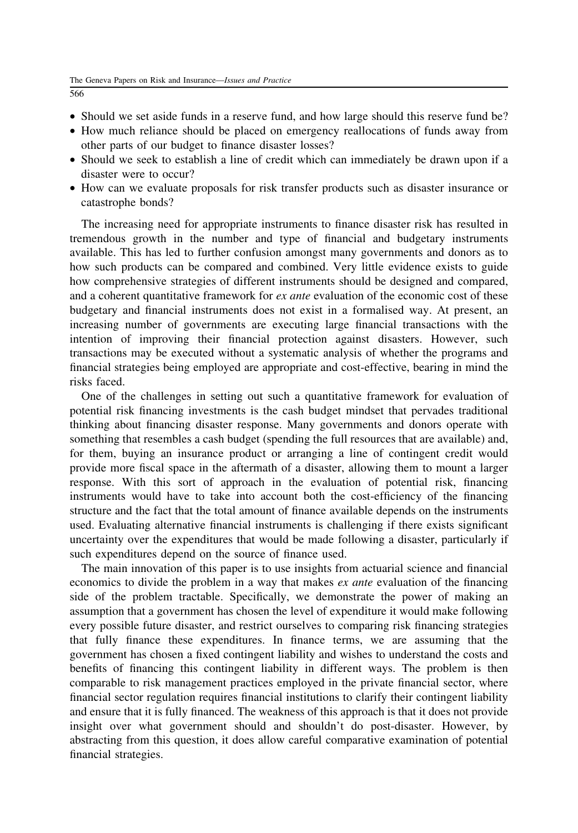- Should we set aside funds in a reserve fund, and how large should this reserve fund be?
- How much reliance should be placed on emergency reallocations of funds away from other parts of our budget to finance disaster losses?
- Should we seek to establish a line of credit which can immediately be drawn upon if a disaster were to occur?
- How can we evaluate proposals for risk transfer products such as disaster insurance or catastrophe bonds?

The increasing need for appropriate instruments to finance disaster risk has resulted in tremendous growth in the number and type of financial and budgetary instruments available. This has led to further confusion amongst many governments and donors as to how such products can be compared and combined. Very little evidence exists to guide how comprehensive strategies of different instruments should be designed and compared, and a coherent quantitative framework for  $ex$  ante evaluation of the economic cost of these budgetary and financial instruments does not exist in a formalised way. At present, an increasing number of governments are executing large financial transactions with the intention of improving their financial protection against disasters. However, such transactions may be executed without a systematic analysis of whether the programs and financial strategies being employed are appropriate and cost-effective, bearing in mind the risks faced.

One of the challenges in setting out such a quantitative framework for evaluation of potential risk financing investments is the cash budget mindset that pervades traditional thinking about financing disaster response. Many governments and donors operate with something that resembles a cash budget (spending the full resources that are available) and, for them, buying an insurance product or arranging a line of contingent credit would provide more fiscal space in the aftermath of a disaster, allowing them to mount a larger response. With this sort of approach in the evaluation of potential risk, financing instruments would have to take into account both the cost-efficiency of the financing structure and the fact that the total amount of finance available depends on the instruments used. Evaluating alternative financial instruments is challenging if there exists significant uncertainty over the expenditures that would be made following a disaster, particularly if such expenditures depend on the source of finance used.

The main innovation of this paper is to use insights from actuarial science and financial economics to divide the problem in a way that makes *ex ante* evaluation of the financing side of the problem tractable. Specifically, we demonstrate the power of making an assumption that a government has chosen the level of expenditure it would make following every possible future disaster, and restrict ourselves to comparing risk financing strategies that fully finance these expenditures. In finance terms, we are assuming that the government has chosen a fixed contingent liability and wishes to understand the costs and benefits of financing this contingent liability in different ways. The problem is then comparable to risk management practices employed in the private financial sector, where financial sector regulation requires financial institutions to clarify their contingent liability and ensure that it is fully financed. The weakness of this approach is that it does not provide insight over what government should and shouldn't do post-disaster. However, by abstracting from this question, it does allow careful comparative examination of potential financial strategies.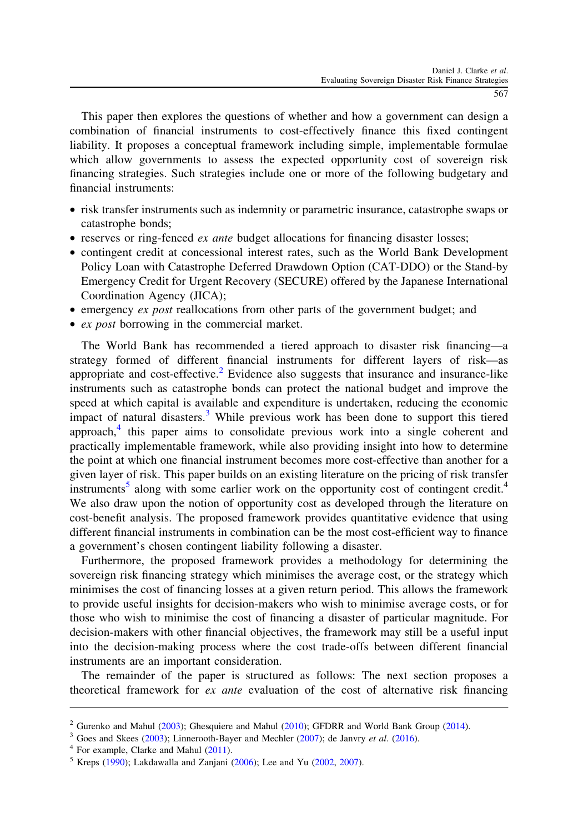This paper then explores the questions of whether and how a government can design a combination of financial instruments to cost-effectively finance this fixed contingent liability. It proposes a conceptual framework including simple, implementable formulae which allow governments to assess the expected opportunity cost of sovereign risk financing strategies. Such strategies include one or more of the following budgetary and financial instruments:

- risk transfer instruments such as indemnity or parametric insurance, catastrophe swaps or catastrophe bonds;
- reserves or ring-fenced *ex ante* budget allocations for financing disaster losses;
- contingent credit at concessional interest rates, such as the World Bank Development Policy Loan with Catastrophe Deferred Drawdown Option (CAT-DDO) or the Stand-by Emergency Credit for Urgent Recovery (SECURE) offered by the Japanese International Coordination Agency (JICA);
- emergency ex post reallocations from other parts of the government budget; and
- *ex post* borrowing in the commercial market.

The World Bank has recommended a tiered approach to disaster risk financing—a strategy formed of different financial instruments for different layers of risk—as appropriate and cost-effective.<sup>2</sup> Evidence also suggests that insurance and insurance-like instruments such as catastrophe bonds can protect the national budget and improve the speed at which capital is available and expenditure is undertaken, reducing the economic impact of natural disasters.<sup>3</sup> While previous work has been done to support this tiered approach, $4$  this paper aims to consolidate previous work into a single coherent and practically implementable framework, while also providing insight into how to determine the point at which one financial instrument becomes more cost-effective than another for a given layer of risk. This paper builds on an existing literature on the pricing of risk transfer instruments<sup>5</sup> along with some earlier work on the opportunity cost of contingent credit.<sup>4</sup> We also draw upon the notion of opportunity cost as developed through the literature on cost-benefit analysis. The proposed framework provides quantitative evidence that using different financial instruments in combination can be the most cost-efficient way to finance a government's chosen contingent liability following a disaster.

Furthermore, the proposed framework provides a methodology for determining the sovereign risk financing strategy which minimises the average cost, or the strategy which minimises the cost of financing losses at a given return period. This allows the framework to provide useful insights for decision-makers who wish to minimise average costs, or for those who wish to minimise the cost of financing a disaster of particular magnitude. For decision-makers with other financial objectives, the framework may still be a useful input into the decision-making process where the cost trade-offs between different financial instruments are an important consideration.

The remainder of the paper is structured as follows: The next section proposes a theoretical framework for  $ex$  ante evaluation of the cost of alternative risk financing

<sup>&</sup>lt;sup>2</sup> Gurenko and Mahul ([2003\)](#page-18-0); Ghesquiere and Mahul [\(2010](#page-18-0)); GFDRR and World Bank Group ([2014\)](#page-18-0).

 $3$  Goes and Skees ([2003\)](#page-18-0); Linnerooth-Bayer and Mechler [\(2007](#page-18-0)); de Janvry et al. ([2016](#page-17-0)).

<sup>4</sup> For example, Clarke and Mahul [\(2011](#page-17-0)).

 $5$  Kreps [\(1990](#page-18-0)); Lakdawalla and Zanjani [\(2006](#page-18-0)); Lee and Yu ([2002,](#page-18-0) [2007](#page-18-0)).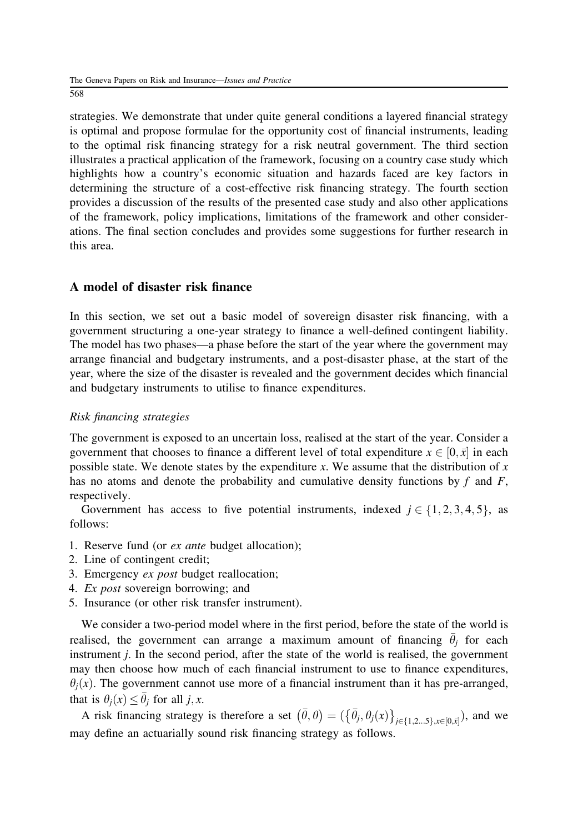<span id="page-4-0"></span>strategies. We demonstrate that under quite general conditions a layered financial strategy is optimal and propose formulae for the opportunity cost of financial instruments, leading to the optimal risk financing strategy for a risk neutral government. The third section illustrates a practical application of the framework, focusing on a country case study which highlights how a country's economic situation and hazards faced are key factors in determining the structure of a cost-effective risk financing strategy. The fourth section provides a discussion of the results of the presented case study and also other applications of the framework, policy implications, limitations of the framework and other considerations. The final section concludes and provides some suggestions for further research in this area.

# A model of disaster risk finance

In this section, we set out a basic model of sovereign disaster risk financing, with a government structuring a one-year strategy to finance a well-defined contingent liability. The model has two phases—a phase before the start of the year where the government may arrange financial and budgetary instruments, and a post-disaster phase, at the start of the year, where the size of the disaster is revealed and the government decides which financial and budgetary instruments to utilise to finance expenditures.

## Risk financing strategies

The government is exposed to an uncertain loss, realised at the start of the year. Consider a government that chooses to finance a different level of total expenditure  $x \in [0, \bar{x}]$  in each possible state. We denote states by the expenditure x. We assume that the distribution of  $x$ has no atoms and denote the probability and cumulative density functions by  $f$  and  $F$ , respectively.

Government has access to five potential instruments, indexed  $j \in \{1, 2, 3, 4, 5\}$ , as follows:

- 1. Reserve fund (or ex ante budget allocation);
- 2. Line of contingent credit;
- 3. Emergency ex post budget reallocation;
- 4. Ex post sovereign borrowing; and
- 5. Insurance (or other risk transfer instrument).

We consider a two-period model where in the first period, before the state of the world is realised, the government can arrange a maximum amount of financing  $\overline{\theta}_j$  for each instrument  $j$ . In the second period, after the state of the world is realised, the government may then choose how much of each financial instrument to use to finance expenditures,  $\theta_i(x)$ . The government cannot use more of a financial instrument than it has pre-arranged, that is  $\theta_j(x) \leq \overline{\theta}_j$  for all  $j, x$ .

A risk financing strategy is therefore a set  $(\bar{\theta}, \theta) = (\{\bar{\theta}_j, \theta_j(x)\}_{j \in \{1, 2, \ldots 5\}, x \in [0, \bar{x}]}),$  and we may define an actuarially sound risk financing strategy as follows.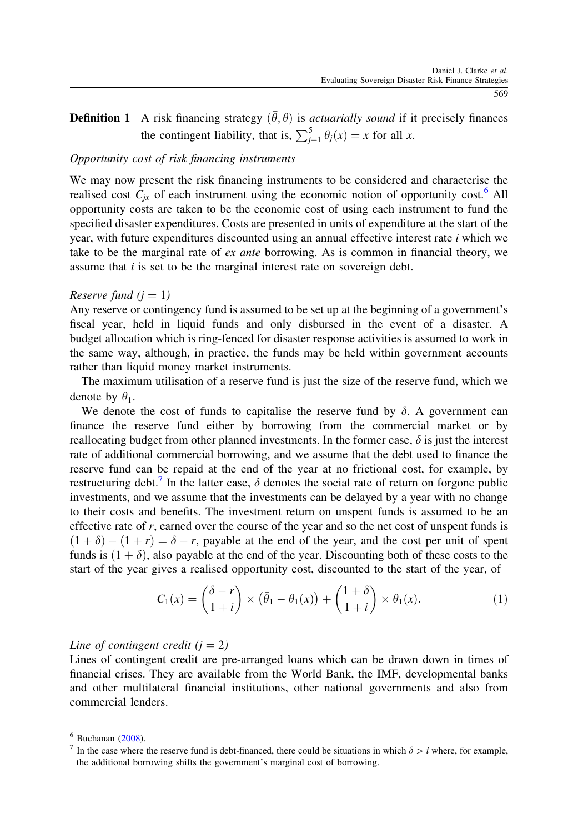<span id="page-5-0"></span>**Definition 1** A risk financing strategy  $(\bar{\theta}, \theta)$  is *actuarially sound* if it precisely finances the contingent liability, that is,  $\sum_{j=1}^{5} \theta_j(x) = x$  for all x.

#### Opportunity cost of risk financing instruments

We may now present the risk financing instruments to be considered and characterise the realised cost  $C_{jx}$  of each instrument using the economic notion of opportunity cost.<sup>6</sup> All opportunity costs are taken to be the economic cost of using each instrument to fund the specified disaster expenditures. Costs are presented in units of expenditure at the start of the year, with future expenditures discounted using an annual effective interest rate  $i$  which we take to be the marginal rate of  $ex$  ante borrowing. As is common in financial theory, we assume that  $i$  is set to be the marginal interest rate on sovereign debt.

#### Reserve fund  $(j = 1)$

Any reserve or contingency fund is assumed to be set up at the beginning of a government's fiscal year, held in liquid funds and only disbursed in the event of a disaster. A budget allocation which is ring-fenced for disaster response activities is assumed to work in the same way, although, in practice, the funds may be held within government accounts rather than liquid money market instruments.

The maximum utilisation of a reserve fund is just the size of the reserve fund, which we denote by  $\bar{\theta}_1$ .

We denote the cost of funds to capitalise the reserve fund by  $\delta$ . A government can finance the reserve fund either by borrowing from the commercial market or by reallocating budget from other planned investments. In the former case,  $\delta$  is just the interest rate of additional commercial borrowing, and we assume that the debt used to finance the reserve fund can be repaid at the end of the year at no frictional cost, for example, by restructuring debt.<sup>7</sup> In the latter case,  $\delta$  denotes the social rate of return on forgone public investments, and we assume that the investments can be delayed by a year with no change to their costs and benefits. The investment return on unspent funds is assumed to be an effective rate of r, earned over the course of the year and so the net cost of unspent funds is  $(1 + \delta) - (1 + r) = \delta - r$ , payable at the end of the year, and the cost per unit of spent funds is  $(1 + \delta)$ , also payable at the end of the year. Discounting both of these costs to the start of the year gives a realised opportunity cost, discounted to the start of the year, of

$$
C_1(x) = \left(\frac{\delta - r}{1 + i}\right) \times \left(\bar{\theta}_1 - \theta_1(x)\right) + \left(\frac{1 + \delta}{1 + i}\right) \times \theta_1(x). \tag{1}
$$

#### Line of contingent credit  $(j = 2)$

Lines of contingent credit are pre-arranged loans which can be drawn down in times of financial crises. They are available from the World Bank, the IMF, developmental banks and other multilateral financial institutions, other national governments and also from commercial lenders.

 $6$  Buchanan  $(2008)$ .

<sup>&</sup>lt;sup>7</sup> In the case where the reserve fund is debt-financed, there could be situations in which  $\delta$  > *i* where, for example, the additional borrowing shifts the government's marginal cost of borrowing.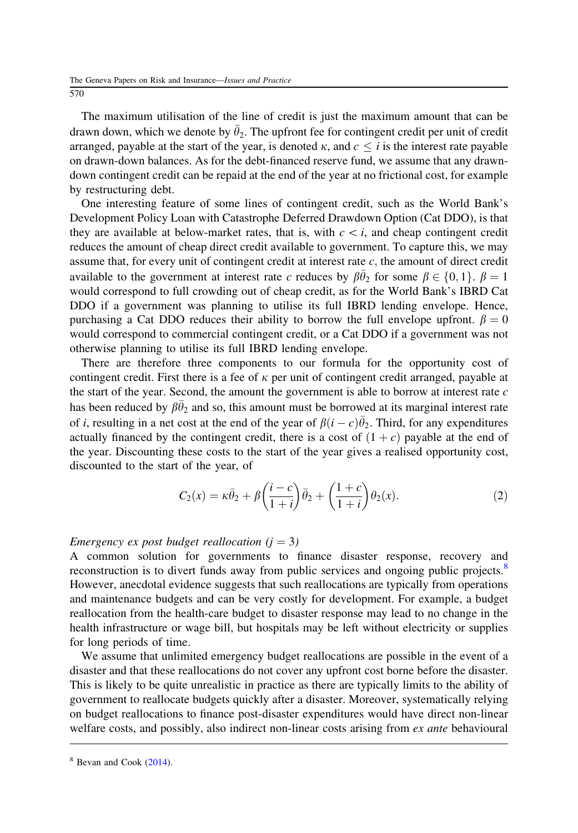The maximum utilisation of the line of credit is just the maximum amount that can be drawn down, which we denote by  $\bar{\theta}_2$ . The upfront fee for contingent credit per unit of credit arranged, payable at the start of the year, is denoted  $\kappa$ , and  $c \le i$  is the interest rate payable on drawn-down balances. As for the debt-financed reserve fund, we assume that any drawndown contingent credit can be repaid at the end of the year at no frictional cost, for example by restructuring debt.

One interesting feature of some lines of contingent credit, such as the World Bank's Development Policy Loan with Catastrophe Deferred Drawdown Option (Cat DDO), is that they are available at below-market rates, that is, with  $c \lt i$ , and cheap contingent credit reduces the amount of cheap direct credit available to government. To capture this, we may assume that, for every unit of contingent credit at interest rate  $c$ , the amount of direct credit available to the government at interest rate c reduces by  $\beta \bar{\theta}_2$  for some  $\beta \in \{0, 1\}$ .  $\beta = 1$ would correspond to full crowding out of cheap credit, as for the World Bank's IBRD Cat DDO if a government was planning to utilise its full IBRD lending envelope. Hence, purchasing a Cat DDO reduces their ability to borrow the full envelope upfront.  $\beta = 0$ would correspond to commercial contingent credit, or a Cat DDO if a government was not otherwise planning to utilise its full IBRD lending envelope.

There are therefore three components to our formula for the opportunity cost of contingent credit. First there is a fee of  $\kappa$  per unit of contingent credit arranged, payable at the start of the year. Second, the amount the government is able to borrow at interest rate  $c$ has been reduced by  $\beta\bar{\theta}_2$  and so, this amount must be borrowed at its marginal interest rate of *i*, resulting in a net cost at the end of the year of  $\beta(i-c)\overline{\theta}_2$ . Third, for any expenditures actually financed by the contingent credit, there is a cost of  $(1 + c)$  payable at the end of the year. Discounting these costs to the start of the year gives a realised opportunity cost, discounted to the start of the year, of

$$
C_2(x) = \kappa \bar{\theta}_2 + \beta \left(\frac{i-c}{1+i}\right) \bar{\theta}_2 + \left(\frac{1+c}{1+i}\right) \theta_2(x). \tag{2}
$$

#### Emergency ex post budget reallocation  $(j = 3)$

A common solution for governments to finance disaster response, recovery and reconstruction is to divert funds away from public services and ongoing public projects.<sup>8</sup> However, anecdotal evidence suggests that such reallocations are typically from operations and maintenance budgets and can be very costly for development. For example, a budget reallocation from the health-care budget to disaster response may lead to no change in the health infrastructure or wage bill, but hospitals may be left without electricity or supplies for long periods of time.

We assume that unlimited emergency budget reallocations are possible in the event of a disaster and that these reallocations do not cover any upfront cost borne before the disaster. This is likely to be quite unrealistic in practice as there are typically limits to the ability of government to reallocate budgets quickly after a disaster. Moreover, systematically relying on budget reallocations to finance post-disaster expenditures would have direct non-linear welfare costs, and possibly, also indirect non-linear costs arising from  $ex$  ante behavioural

<sup>8</sup> Bevan and Cook ([2014](#page-17-0)).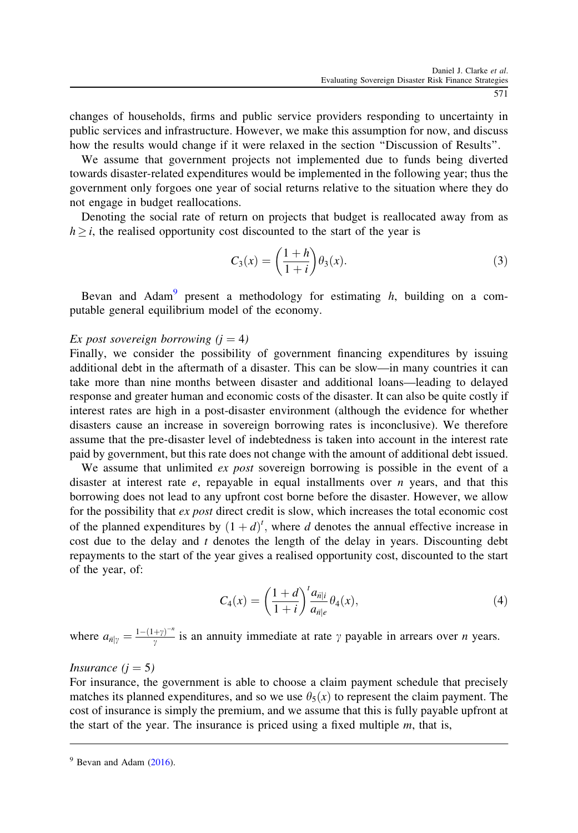<span id="page-7-0"></span>changes of households, firms and public service providers responding to uncertainty in public services and infrastructure. However, we make this assumption for now, and discuss how the results would change if it were relaxed in the section "Discussion of Results".

We assume that government projects not implemented due to funds being diverted towards disaster-related expenditures would be implemented in the following year; thus the government only forgoes one year of social returns relative to the situation where they do not engage in budget reallocations.

Denoting the social rate of return on projects that budget is reallocated away from as  $h \geq i$ , the realised opportunity cost discounted to the start of the year is

$$
C_3(x) = \left(\frac{1+h}{1+i}\right)\theta_3(x). \tag{3}
$$

Bevan and Adam<sup>9</sup> present a methodology for estimating h, building on a computable general equilibrium model of the economy.

#### Ex post sovereign borrowing  $(j = 4)$

Finally, we consider the possibility of government financing expenditures by issuing additional debt in the aftermath of a disaster. This can be slow—in many countries it can take more than nine months between disaster and additional loans—leading to delayed response and greater human and economic costs of the disaster. It can also be quite costly if interest rates are high in a post-disaster environment (although the evidence for whether disasters cause an increase in sovereign borrowing rates is inconclusive). We therefore assume that the pre-disaster level of indebtedness is taken into account in the interest rate paid by government, but this rate does not change with the amount of additional debt issued.

We assume that unlimited  $ex$  post sovereign borrowing is possible in the event of a disaster at interest rate  $e$ , repayable in equal installments over  $n$  years, and that this borrowing does not lead to any upfront cost borne before the disaster. However, we allow for the possibility that ex post direct credit is slow, which increases the total economic cost of the planned expenditures by  $(1 + d)^t$ , where d denotes the annual effective increase in cost due to the delay and  $t$  denotes the length of the delay in years. Discounting debt repayments to the start of the year gives a realised opportunity cost, discounted to the start of the year, of:

$$
C_4(x) = \left(\frac{1+d}{1+i}\right)^t \frac{a_{\bar{n}|i}}{a_{\bar{n}|e}} \theta_4(x),\tag{4}
$$

where  $a_{\bar{n}|y} = \frac{1-(1+y)^{-n}}{y}$  is an annuity immediate at rate  $\gamma$  payable in arrears over *n* years.

#### *Insurance*  $(i = 5)$

For insurance, the government is able to choose a claim payment schedule that precisely matches its planned expenditures, and so we use  $\theta_5(x)$  to represent the claim payment. The cost of insurance is simply the premium, and we assume that this is fully payable upfront at the start of the year. The insurance is priced using a fixed multiple  $m$ , that is,

 $9$  Bevan and Adam  $(2016)$  $(2016)$ .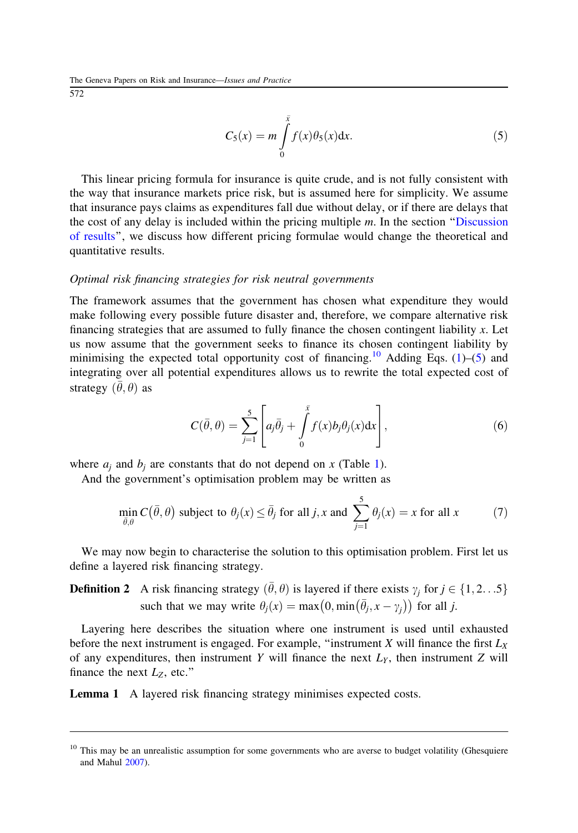$$
C_5(x) = m \int_0^{\bar{x}} f(x) \theta_5(x) dx.
$$
 (5)

This linear pricing formula for insurance is quite crude, and is not fully consistent with the way that insurance markets price risk, but is assumed here for simplicity. We assume that insurance pays claims as expenditures fall due without delay, or if there are delays that the cost of any delay is included within the pricing multiple  $m$ . In the section "[Discussion](#page-14-0)" [of results](#page-14-0)'', we discuss how different pricing formulae would change the theoretical and quantitative results.

#### Optimal risk financing strategies for risk neutral governments

The framework assumes that the government has chosen what expenditure they would make following every possible future disaster and, therefore, we compare alternative risk financing strategies that are assumed to fully finance the chosen contingent liability  $x$ . Let us now assume that the government seeks to finance its chosen contingent liability by minimising the expected total opportunity cost of financing.<sup>10</sup> Adding Eqs. [\(1](#page-5-0))–([5\)](#page-7-0) and integrating over all potential expenditures allows us to rewrite the total expected cost of strategy  $(\bar{\theta}, \theta)$  as

$$
C(\bar{\theta}, \theta) = \sum_{j=1}^{5} \left[ a_j \bar{\theta}_j + \int_0^{\bar{x}} f(x) b_j \theta_j(x) dx \right],
$$
 (6)

where  $a_i$  and  $b_i$  are constants that do not depend on x (Table [1\)](#page-9-0).

And the government's optimisation problem may be written as

$$
\min_{\bar{\theta}, \theta} C(\bar{\theta}, \theta) \text{ subject to } \theta_j(x) \le \bar{\theta}_j \text{ for all } j, x \text{ and } \sum_{j=1}^5 \theta_j(x) = x \text{ for all } x \tag{7}
$$

We may now begin to characterise the solution to this optimisation problem. First let us define a layered risk financing strategy.

# **Definition 2** A risk financing strategy  $(\bar{\theta}, \theta)$  is layered if there exists  $\gamma_j$  for  $j \in \{1, 2...5\}$ such that we may write  $\theta_j(x) = \max(0, \min(\bar{\theta}_j, x - \gamma_j))$  for all j.

Layering here describes the situation where one instrument is used until exhausted before the next instrument is engaged. For example, "instrument  $X$  will finance the first  $L_X$ of any expenditures, then instrument Y will finance the next  $L<sub>Y</sub>$ , then instrument Z will finance the next  $L_z$ , etc."

Lemma 1 A layered risk financing strategy minimises expected costs.

<sup>&</sup>lt;sup>10</sup> This may be an unrealistic assumption for some governments who are averse to budget volatility (Ghesquiere and Mahul [2007](#page-18-0)).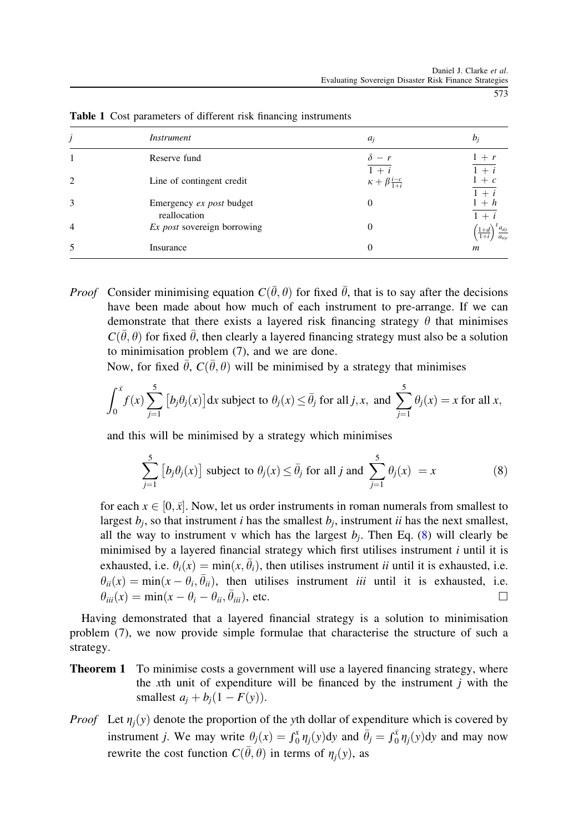| j              | <i>Instrument</i>                        | $a_i$                                     | $b_i$                                           |
|----------------|------------------------------------------|-------------------------------------------|-------------------------------------------------|
|                | Reserve fund                             | $\delta - r$                              | $1 + r$                                         |
| 2              | Line of contingent credit                | $\frac{1+i}{\kappa+\beta\frac{i-c}{1+i}}$ | $\overline{1+i}$<br>$1 + c$<br>$\overline{1+i}$ |
| 3              | Emergency ex post budget<br>reallocation | $\Omega$                                  | $\frac{1+h}{1+i}$                               |
| $\overline{4}$ | <i>Ex post</i> sovereign borrowing       | 0                                         | $\frac{1+d}{1+i}$<br>$a_{\vec{n} i}$            |
| 5              | Insurance                                | $\theta$                                  | m                                               |

<span id="page-9-0"></span>Table 1 Cost parameters of different risk financing instruments

*Proof* Consider minimising equation  $C(\bar{\theta}, \theta)$  for fixed  $\bar{\theta}$ , that is to say after the decisions have been made about how much of each instrument to pre-arrange. If we can demonstrate that there exists a layered risk financing strategy  $\theta$  that minimises  $C(\bar{\theta}, \theta)$  for fixed  $\bar{\theta}$ , then clearly a layered financing strategy must also be a solution to minimisation problem (7), and we are done.

Now, for fixed  $\bar{\theta}$ ,  $C(\bar{\theta}, \theta)$  will be minimised by a strategy that minimises

$$
\int_0^{\bar{x}} f(x) \sum_{j=1}^5 \left[ b_j \theta_j(x) \right] dx \text{ subject to } \theta_j(x) \le \bar{\theta}_j \text{ for all } j, x, \text{ and } \sum_{j=1}^5 \theta_j(x) = x \text{ for all } x,
$$

and this will be minimised by a strategy which minimises

$$
\sum_{j=1}^{5} \left[ b_j \theta_j(x) \right] \text{ subject to } \theta_j(x) \le \bar{\theta}_j \text{ for all } j \text{ and } \sum_{j=1}^{5} \theta_j(x) = x \tag{8}
$$

for each  $x \in [0, \bar{x}]$ . Now, let us order instruments in roman numerals from smallest to largest  $b_i$ , so that instrument *i* has the smallest  $b_i$ , instrument *ii* has the next smallest, all the way to instrument v which has the largest  $b_i$ . Then Eq. (8) will clearly be minimised by a layered financial strategy which first utilises instrument  $i$  until it is exhausted, i.e.  $\theta_i(x) = \min(x, \bar{\theta}_i)$ , then utilises instrument *ii* until it is exhausted, i.e.  $\theta_{ii}(x) = \min(x - \theta_i, \bar{\theta}_{ii})$ , then utilises instrument *iii* until it is exhausted, i.e.  $\theta_{iii}(x) = \min(x - \theta_i - \theta_{ii}, \bar{\theta}_{iii}),$  etc.

Having demonstrated that a layered financial strategy is a solution to minimisation problem (7), we now provide simple formulae that characterise the structure of such a strategy.

- **Theorem 1** To minimise costs a government will use a layered financing strategy, where the xth unit of expenditure will be financed by the instrument  $j$  with the smallest  $a_i + b_i(1 - F(y))$ .
- *Proof* Let  $\eta_i(y)$  denote the proportion of the yth dollar of expenditure which is covered by instrument *j*. We may write  $\theta_j(x) = \int_0^x \eta_j(y) dy$  and  $\bar{\theta}_j = \int_0^{\bar{x}} \eta_j(y) dy$  and may now rewrite the cost function  $C(\bar{\theta}, \theta)$  in terms of  $\eta_j(y)$ , as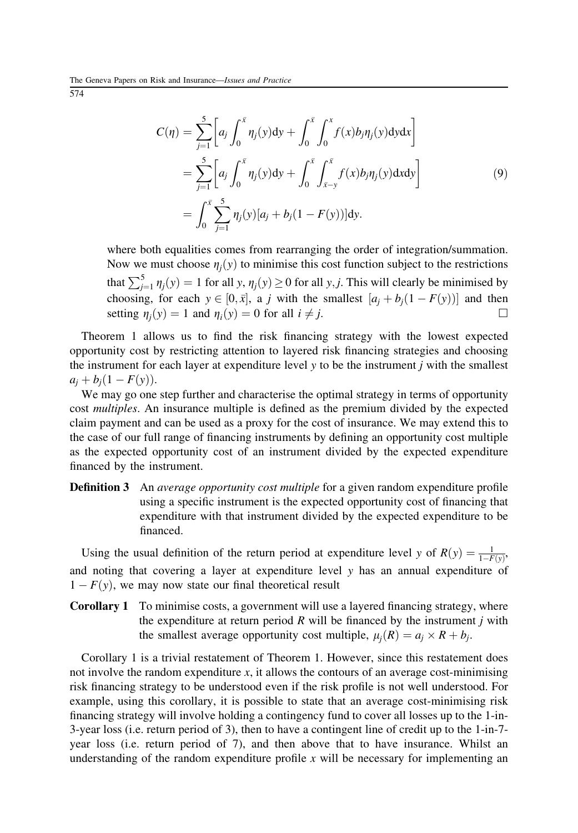$$
C(\eta) = \sum_{j=1}^{5} \left[ a_j \int_0^{\bar{x}} \eta_j(y) dy + \int_0^{\bar{x}} \int_0^x f(x) b_j \eta_j(y) dy dx \right]
$$
  
= 
$$
\sum_{j=1}^{5} \left[ a_j \int_0^{\bar{x}} \eta_j(y) dy + \int_0^{\bar{x}} \int_{\bar{x}-y}^{\bar{x}} f(x) b_j \eta_j(y) dx dy \right]
$$
  
= 
$$
\int_0^{\bar{x}} \sum_{j=1}^{5} \eta_j(y) [a_j + b_j (1 - F(y))] dy.
$$
 (9)

where both equalities comes from rearranging the order of integration/summation. Now we must choose  $\eta_i(y)$  to minimise this cost function subject to the restrictions that  $\sum_{j=1}^{5} \eta_j(y) = 1$  for all y,  $\eta_j(y) \ge 0$  for all y, j. This will clearly be minimised by choosing, for each  $y \in [0, \bar{x}]$ , a j with the smallest  $[a_j + b_j(1 - F(y))]$  and then setting  $\eta_i(y) = 1$  and  $\eta_i(y) = 0$  for all  $i \neq j$ .

Theorem 1 allows us to find the risk financing strategy with the lowest expected opportunity cost by restricting attention to layered risk financing strategies and choosing the instrument for each layer at expenditure level  $y$  to be the instrument  $j$  with the smallest  $a_j + b_j(1 - F(y)).$ 

We may go one step further and characterise the optimal strategy in terms of opportunity cost multiples. An insurance multiple is defined as the premium divided by the expected claim payment and can be used as a proxy for the cost of insurance. We may extend this to the case of our full range of financing instruments by defining an opportunity cost multiple as the expected opportunity cost of an instrument divided by the expected expenditure financed by the instrument.

### **Definition 3** An average opportunity cost multiple for a given random expenditure profile using a specific instrument is the expected opportunity cost of financing that expenditure with that instrument divided by the expected expenditure to be financed.

Using the usual definition of the return period at expenditure level y of  $R(y) = \frac{1}{1-F(y)}$ , and noting that covering a layer at expenditure level y has an annual expenditure of  $1 - F(y)$ , we may now state our final theoretical result

Corollary 1 To minimise costs, a government will use a layered financing strategy, where the expenditure at return period  $R$  will be financed by the instrument  $j$  with the smallest average opportunity cost multiple,  $\mu_i(R) = a_i \times R + b_i$ .

Corollary 1 is a trivial restatement of Theorem 1. However, since this restatement does not involve the random expenditure  $x$ , it allows the contours of an average cost-minimising risk financing strategy to be understood even if the risk profile is not well understood. For example, using this corollary, it is possible to state that an average cost-minimising risk financing strategy will involve holding a contingency fund to cover all losses up to the 1-in-3-year loss (i.e. return period of 3), then to have a contingent line of credit up to the 1-in-7 year loss (i.e. return period of 7), and then above that to have insurance. Whilst an understanding of the random expenditure profile  $x$  will be necessary for implementing an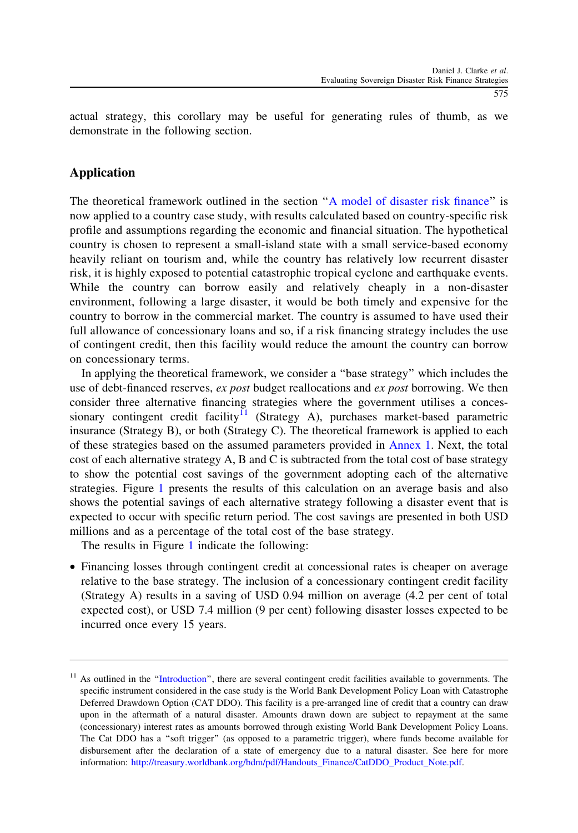<span id="page-11-0"></span>actual strategy, this corollary may be useful for generating rules of thumb, as we demonstrate in the following section.

## Application

The theoretical framework outlined in the section ''[A model of disaster risk finance](#page-4-0)'' is now applied to a country case study, with results calculated based on country-specific risk profile and assumptions regarding the economic and financial situation. The hypothetical country is chosen to represent a small-island state with a small service-based economy heavily reliant on tourism and, while the country has relatively low recurrent disaster risk, it is highly exposed to potential catastrophic tropical cyclone and earthquake events. While the country can borrow easily and relatively cheaply in a non-disaster environment, following a large disaster, it would be both timely and expensive for the country to borrow in the commercial market. The country is assumed to have used their full allowance of concessionary loans and so, if a risk financing strategy includes the use of contingent credit, then this facility would reduce the amount the country can borrow on concessionary terms.

In applying the theoretical framework, we consider a ''base strategy'' which includes the use of debt-financed reserves, ex post budget reallocations and ex post borrowing. We then consider three alternative financing strategies where the government utilises a concessionary contingent credit facility<sup>11</sup> (Strategy A), purchases market-based parametric insurance (Strategy B), or both (Strategy C). The theoretical framework is applied to each of these strategies based on the assumed parameters provided in [Annex 1](#page-18-0). Next, the total cost of each alternative strategy A, B and C is subtracted from the total cost of base strategy to show the potential cost savings of the government adopting each of the alternative strategies. Figure [1](#page-12-0) presents the results of this calculation on an average basis and also shows the potential savings of each alternative strategy following a disaster event that is expected to occur with specific return period. The cost savings are presented in both USD millions and as a percentage of the total cost of the base strategy.

The results in Figure [1](#page-12-0) indicate the following:

• Financing losses through contingent credit at concessional rates is cheaper on average relative to the base strategy. The inclusion of a concessionary contingent credit facility (Strategy A) results in a saving of USD 0.94 million on average (4.2 per cent of total expected cost), or USD 7.4 million (9 per cent) following disaster losses expected to be incurred once every 15 years.

<sup>&</sup>lt;sup>11</sup> As outlined in the "[Introduction](#page-1-0)", there are several contingent credit facilities available to governments. The specific instrument considered in the case study is the World Bank Development Policy Loan with Catastrophe Deferred Drawdown Option (CAT DDO). This facility is a pre-arranged line of credit that a country can draw upon in the aftermath of a natural disaster. Amounts drawn down are subject to repayment at the same (concessionary) interest rates as amounts borrowed through existing World Bank Development Policy Loans. The Cat DDO has a "soft trigger" (as opposed to a parametric trigger), where funds become available for disbursement after the declaration of a state of emergency due to a natural disaster. See here for more information: [http://treasury.worldbank.org/bdm/pdf/Handouts\\_Finance/CatDDO\\_Product\\_Note.pdf](http://treasury.worldbank.org/bdm/pdf/Handouts_Finance/CatDDO_Product_Note.pdf).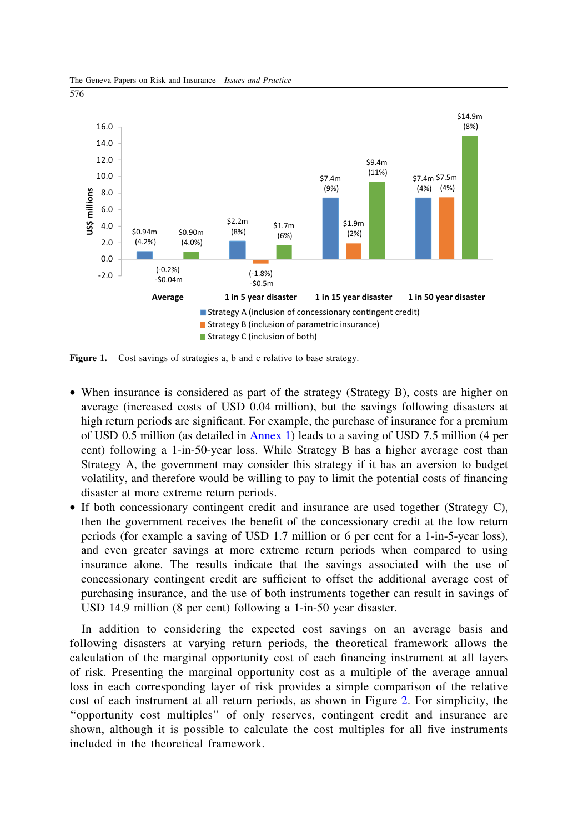<span id="page-12-0"></span>

Figure 1. Cost savings of strategies a, b and c relative to base strategy.

- When insurance is considered as part of the strategy (Strategy B), costs are higher on average (increased costs of USD 0.04 million), but the savings following disasters at high return periods are significant. For example, the purchase of insurance for a premium of USD 0.5 million (as detailed in [Annex 1\)](#page-18-0) leads to a saving of USD 7.5 million (4 per cent) following a 1-in-50-year loss. While Strategy B has a higher average cost than Strategy A, the government may consider this strategy if it has an aversion to budget volatility, and therefore would be willing to pay to limit the potential costs of financing disaster at more extreme return periods.
- If both concessionary contingent credit and insurance are used together (Strategy C), then the government receives the benefit of the concessionary credit at the low return periods (for example a saving of USD 1.7 million or 6 per cent for a 1-in-5-year loss), and even greater savings at more extreme return periods when compared to using insurance alone. The results indicate that the savings associated with the use of concessionary contingent credit are sufficient to offset the additional average cost of purchasing insurance, and the use of both instruments together can result in savings of USD 14.9 million (8 per cent) following a 1-in-50 year disaster.

In addition to considering the expected cost savings on an average basis and following disasters at varying return periods, the theoretical framework allows the calculation of the marginal opportunity cost of each financing instrument at all layers of risk. Presenting the marginal opportunity cost as a multiple of the average annual loss in each corresponding layer of risk provides a simple comparison of the relative cost of each instrument at all return periods, as shown in Figure [2.](#page-13-0) For simplicity, the ''opportunity cost multiples'' of only reserves, contingent credit and insurance are shown, although it is possible to calculate the cost multiples for all five instruments included in the theoretical framework.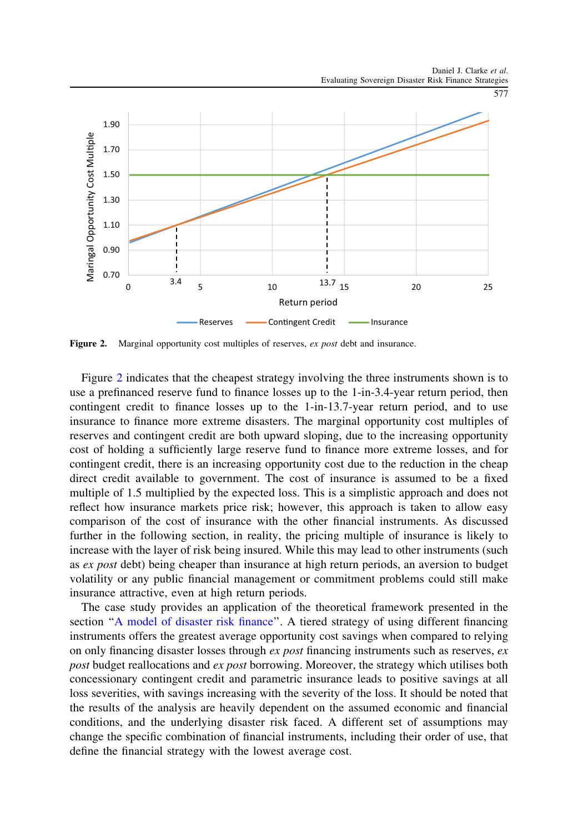<span id="page-13-0"></span>

Figure 2. Marginal opportunity cost multiples of reserves, ex post debt and insurance.

Figure 2 indicates that the cheapest strategy involving the three instruments shown is to use a prefinanced reserve fund to finance losses up to the 1-in-3.4-year return period, then contingent credit to finance losses up to the 1-in-13.7-year return period, and to use insurance to finance more extreme disasters. The marginal opportunity cost multiples of reserves and contingent credit are both upward sloping, due to the increasing opportunity cost of holding a sufficiently large reserve fund to finance more extreme losses, and for contingent credit, there is an increasing opportunity cost due to the reduction in the cheap direct credit available to government. The cost of insurance is assumed to be a fixed multiple of 1.5 multiplied by the expected loss. This is a simplistic approach and does not reflect how insurance markets price risk; however, this approach is taken to allow easy comparison of the cost of insurance with the other financial instruments. As discussed further in the following section, in reality, the pricing multiple of insurance is likely to increase with the layer of risk being insured. While this may lead to other instruments (such as ex post debt) being cheaper than insurance at high return periods, an aversion to budget volatility or any public financial management or commitment problems could still make insurance attractive, even at high return periods.

The case study provides an application of the theoretical framework presented in the section "A model of disaster risk finance". A tiered strategy of using different financing instruments offers the greatest average opportunity cost savings when compared to relying on only financing disaster losses through  $ex$  post financing instruments such as reserves,  $ex$ post budget reallocations and ex post borrowing. Moreover, the strategy which utilises both concessionary contingent credit and parametric insurance leads to positive savings at all loss severities, with savings increasing with the severity of the loss. It should be noted that the results of the analysis are heavily dependent on the assumed economic and financial conditions, and the underlying disaster risk faced. A different set of assumptions may change the specific combination of financial instruments, including their order of use, that define the financial strategy with the lowest average cost.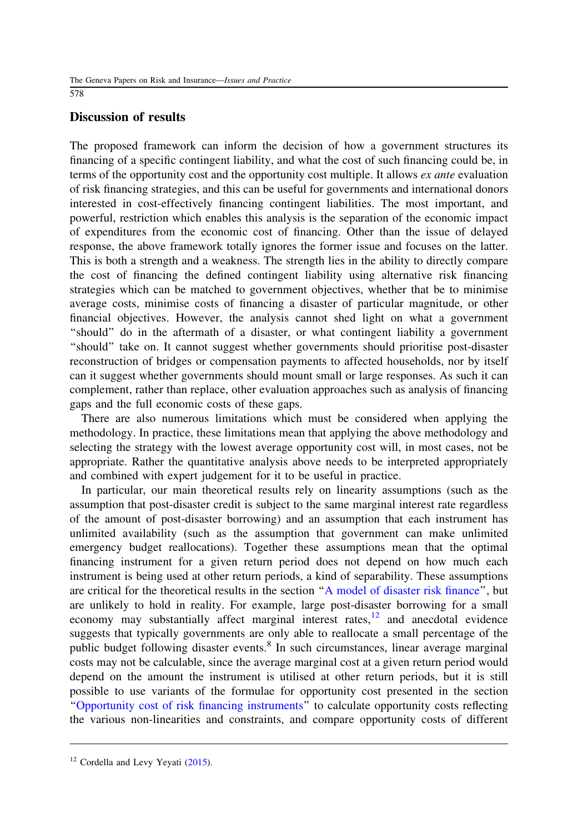#### <span id="page-14-0"></span>Discussion of results

The proposed framework can inform the decision of how a government structures its financing of a specific contingent liability, and what the cost of such financing could be, in terms of the opportunity cost and the opportunity cost multiple. It allows *ex ante* evaluation of risk financing strategies, and this can be useful for governments and international donors interested in cost-effectively financing contingent liabilities. The most important, and powerful, restriction which enables this analysis is the separation of the economic impact of expenditures from the economic cost of financing. Other than the issue of delayed response, the above framework totally ignores the former issue and focuses on the latter. This is both a strength and a weakness. The strength lies in the ability to directly compare the cost of financing the defined contingent liability using alternative risk financing strategies which can be matched to government objectives, whether that be to minimise average costs, minimise costs of financing a disaster of particular magnitude, or other financial objectives. However, the analysis cannot shed light on what a government ''should'' do in the aftermath of a disaster, or what contingent liability a government ''should'' take on. It cannot suggest whether governments should prioritise post-disaster reconstruction of bridges or compensation payments to affected households, nor by itself can it suggest whether governments should mount small or large responses. As such it can complement, rather than replace, other evaluation approaches such as analysis of financing gaps and the full economic costs of these gaps.

There are also numerous limitations which must be considered when applying the methodology. In practice, these limitations mean that applying the above methodology and selecting the strategy with the lowest average opportunity cost will, in most cases, not be appropriate. Rather the quantitative analysis above needs to be interpreted appropriately and combined with expert judgement for it to be useful in practice.

In particular, our main theoretical results rely on linearity assumptions (such as the assumption that post-disaster credit is subject to the same marginal interest rate regardless of the amount of post-disaster borrowing) and an assumption that each instrument has unlimited availability (such as the assumption that government can make unlimited emergency budget reallocations). Together these assumptions mean that the optimal financing instrument for a given return period does not depend on how much each instrument is being used at other return periods, a kind of separability. These assumptions are critical for the theoretical results in the section ''[A model of disaster risk finance](#page-4-0)'', but are unlikely to hold in reality. For example, large post-disaster borrowing for a small economy may substantially affect marginal interest rates, $12$  and anecdotal evidence suggests that typically governments are only able to reallocate a small percentage of the public budget following disaster events.<sup>8</sup> In such circumstances, linear average marginal costs may not be calculable, since the average marginal cost at a given return period would depend on the amount the instrument is utilised at other return periods, but it is still possible to use variants of the formulae for opportunity cost presented in the section ''[Opportunity cost of risk financing instruments](#page-5-0)'' to calculate opportunity costs reflecting the various non-linearities and constraints, and compare opportunity costs of different

 $12$  Cordella and Levy Yeyati ([2015\)](#page-17-0).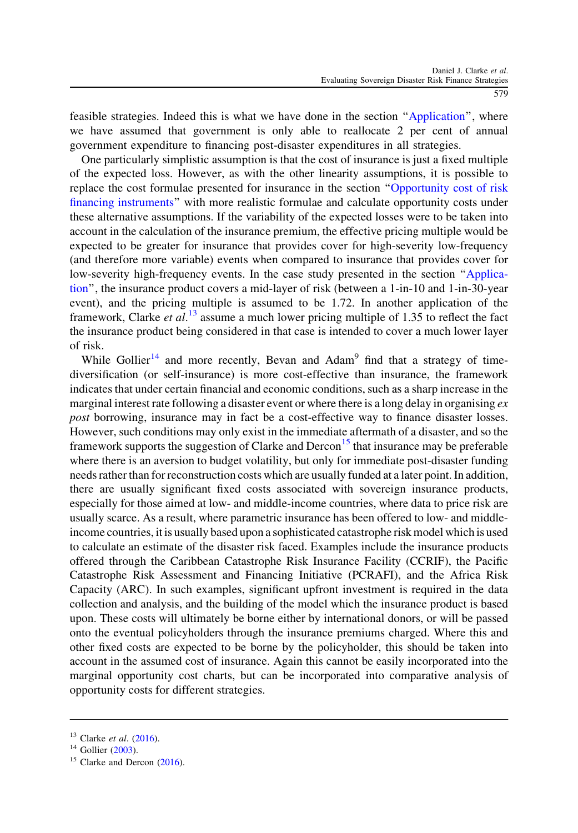feasible strategies. Indeed this is what we have done in the section ''[Application](#page-11-0)'', where we have assumed that government is only able to reallocate 2 per cent of annual government expenditure to financing post-disaster expenditures in all strategies.

One particularly simplistic assumption is that the cost of insurance is just a fixed multiple of the expected loss. However, as with the other linearity assumptions, it is possible to replace the cost formulae presented for insurance in the section ''[Opportunity cost of risk](#page-5-0) [financing instruments](#page-5-0)'' with more realistic formulae and calculate opportunity costs under these alternative assumptions. If the variability of the expected losses were to be taken into account in the calculation of the insurance premium, the effective pricing multiple would be expected to be greater for insurance that provides cover for high-severity low-frequency (and therefore more variable) events when compared to insurance that provides cover for low-severity high-frequency events. In the case study presented in the section ''[Applica](#page-11-0)[tion'](#page-11-0)', the insurance product covers a mid-layer of risk (between a 1-in-10 and 1-in-30-year event), and the pricing multiple is assumed to be 1.72. In another application of the framework, Clarke et  $al$ <sup>13</sup> assume a much lower pricing multiple of 1.35 to reflect the fact the insurance product being considered in that case is intended to cover a much lower layer of risk.

While Gollier<sup>14</sup> and more recently, Bevan and Adam<sup>9</sup> find that a strategy of timediversification (or self-insurance) is more cost-effective than insurance, the framework indicates that under certain financial and economic conditions, such as a sharp increase in the marginal interest rate following a disaster event or where there is a long delay in organising  $ex$ post borrowing, insurance may in fact be a cost-effective way to finance disaster losses. However, such conditions may only exist in the immediate aftermath of a disaster, and so the framework supports the suggestion of Clarke and Dercon<sup>15</sup> that insurance may be preferable where there is an aversion to budget volatility, but only for immediate post-disaster funding needs rather than for reconstruction costs which are usually funded at a later point. In addition, there are usually significant fixed costs associated with sovereign insurance products, especially for those aimed at low- and middle-income countries, where data to price risk are usually scarce. As a result, where parametric insurance has been offered to low- and middleincome countries, it is usually based upon a sophisticated catastrophe risk model which is used to calculate an estimate of the disaster risk faced. Examples include the insurance products offered through the Caribbean Catastrophe Risk Insurance Facility (CCRIF), the Pacific Catastrophe Risk Assessment and Financing Initiative (PCRAFI), and the Africa Risk Capacity (ARC). In such examples, significant upfront investment is required in the data collection and analysis, and the building of the model which the insurance product is based upon. These costs will ultimately be borne either by international donors, or will be passed onto the eventual policyholders through the insurance premiums charged. Where this and other fixed costs are expected to be borne by the policyholder, this should be taken into account in the assumed cost of insurance. Again this cannot be easily incorporated into the marginal opportunity cost charts, but can be incorporated into comparative analysis of opportunity costs for different strategies.

 $13$  Clarke *et al.* ([2016\)](#page-17-0).

<sup>&</sup>lt;sup>14</sup> Gollier ([2003\)](#page-18-0).

<sup>&</sup>lt;sup>15</sup> Clarke and Dercon ([2016\)](#page-17-0).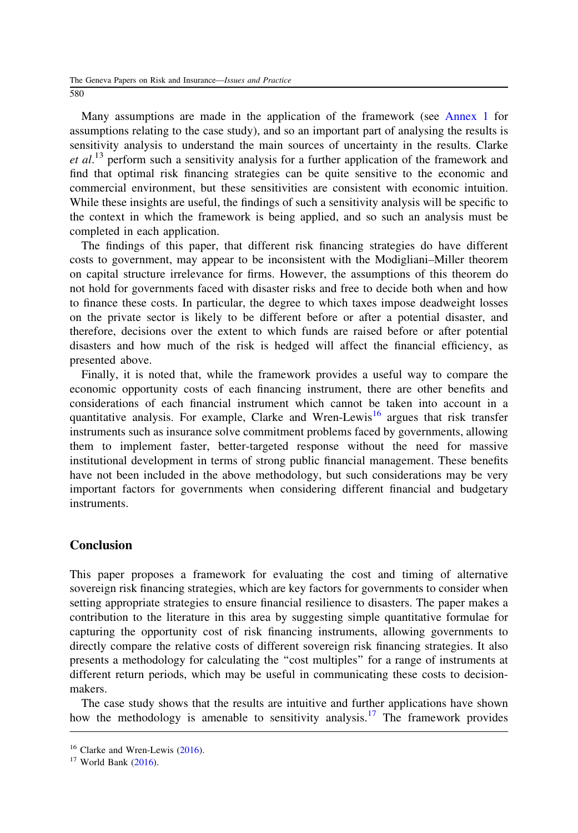Many assumptions are made in the application of the framework (see [Annex 1](#page-18-0) for assumptions relating to the case study), and so an important part of analysing the results is sensitivity analysis to understand the main sources of uncertainty in the results. Clarke et al.<sup>13</sup> perform such a sensitivity analysis for a further application of the framework and find that optimal risk financing strategies can be quite sensitive to the economic and commercial environment, but these sensitivities are consistent with economic intuition. While these insights are useful, the findings of such a sensitivity analysis will be specific to the context in which the framework is being applied, and so such an analysis must be completed in each application.

The findings of this paper, that different risk financing strategies do have different costs to government, may appear to be inconsistent with the Modigliani–Miller theorem on capital structure irrelevance for firms. However, the assumptions of this theorem do not hold for governments faced with disaster risks and free to decide both when and how to finance these costs. In particular, the degree to which taxes impose deadweight losses on the private sector is likely to be different before or after a potential disaster, and therefore, decisions over the extent to which funds are raised before or after potential disasters and how much of the risk is hedged will affect the financial efficiency, as presented above.

Finally, it is noted that, while the framework provides a useful way to compare the economic opportunity costs of each financing instrument, there are other benefits and considerations of each financial instrument which cannot be taken into account in a quantitative analysis. For example, Clarke and Wren-Lewis<sup>16</sup> argues that risk transfer instruments such as insurance solve commitment problems faced by governments, allowing them to implement faster, better-targeted response without the need for massive institutional development in terms of strong public financial management. These benefits have not been included in the above methodology, but such considerations may be very important factors for governments when considering different financial and budgetary instruments.

# Conclusion

This paper proposes a framework for evaluating the cost and timing of alternative sovereign risk financing strategies, which are key factors for governments to consider when setting appropriate strategies to ensure financial resilience to disasters. The paper makes a contribution to the literature in this area by suggesting simple quantitative formulae for capturing the opportunity cost of risk financing instruments, allowing governments to directly compare the relative costs of different sovereign risk financing strategies. It also presents a methodology for calculating the ''cost multiples'' for a range of instruments at different return periods, which may be useful in communicating these costs to decisionmakers.

The case study shows that the results are intuitive and further applications have shown how the methodology is amenable to sensitivity analysis.<sup>17</sup> The framework provides

<sup>&</sup>lt;sup>16</sup> Clarke and Wren-Lewis [\(2016\)](#page-17-0).

 $17$  World Bank [\(2016\)](#page-18-0).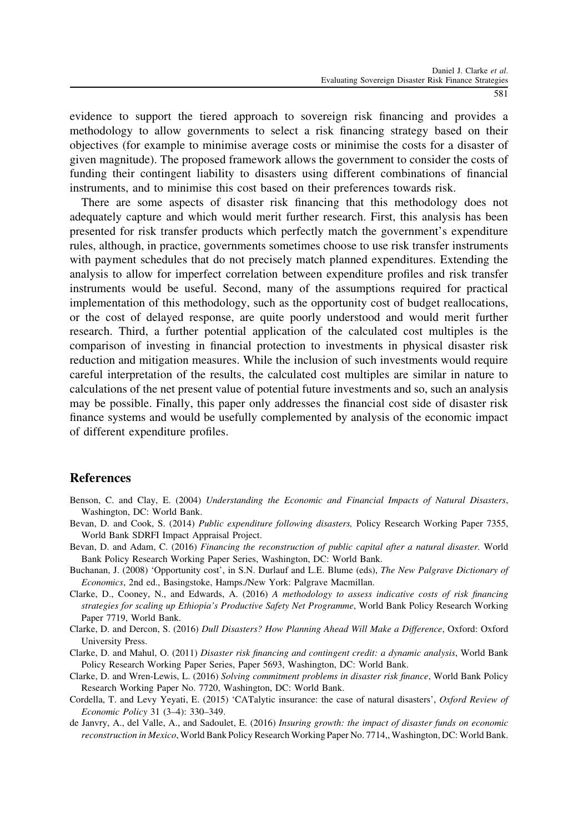<span id="page-17-0"></span>evidence to support the tiered approach to sovereign risk financing and provides a methodology to allow governments to select a risk financing strategy based on their objectives (for example to minimise average costs or minimise the costs for a disaster of given magnitude). The proposed framework allows the government to consider the costs of funding their contingent liability to disasters using different combinations of financial instruments, and to minimise this cost based on their preferences towards risk.

There are some aspects of disaster risk financing that this methodology does not adequately capture and which would merit further research. First, this analysis has been presented for risk transfer products which perfectly match the government's expenditure rules, although, in practice, governments sometimes choose to use risk transfer instruments with payment schedules that do not precisely match planned expenditures. Extending the analysis to allow for imperfect correlation between expenditure profiles and risk transfer instruments would be useful. Second, many of the assumptions required for practical implementation of this methodology, such as the opportunity cost of budget reallocations, or the cost of delayed response, are quite poorly understood and would merit further research. Third, a further potential application of the calculated cost multiples is the comparison of investing in financial protection to investments in physical disaster risk reduction and mitigation measures. While the inclusion of such investments would require careful interpretation of the results, the calculated cost multiples are similar in nature to calculations of the net present value of potential future investments and so, such an analysis may be possible. Finally, this paper only addresses the financial cost side of disaster risk finance systems and would be usefully complemented by analysis of the economic impact of different expenditure profiles.

#### References

- Benson, C. and Clay, E. (2004) Understanding the Economic and Financial Impacts of Natural Disasters, Washington, DC: World Bank.
- Bevan, D. and Cook, S. (2014) Public expenditure following disasters, Policy Research Working Paper 7355, World Bank SDRFI Impact Appraisal Project.
- Bevan, D. and Adam, C. (2016) Financing the reconstruction of public capital after a natural disaster. World Bank Policy Research Working Paper Series, Washington, DC: World Bank.
- Buchanan, J. (2008) 'Opportunity cost', in S.N. Durlauf and L.E. Blume (eds), The New Palgrave Dictionary of Economics, 2nd ed., Basingstoke, Hamps./New York: Palgrave Macmillan.
- Clarke, D., Cooney, N., and Edwards, A. (2016) A methodology to assess indicative costs of risk financing strategies for scaling up Ethiopia's Productive Safety Net Programme, World Bank Policy Research Working Paper 7719, World Bank.
- Clarke, D. and Dercon, S. (2016) Dull Disasters? How Planning Ahead Will Make a Difference, Oxford: Oxford University Press.
- Clarke, D. and Mahul, O. (2011) Disaster risk financing and contingent credit: a dynamic analysis, World Bank Policy Research Working Paper Series, Paper 5693, Washington, DC: World Bank.
- Clarke, D. and Wren-Lewis, L. (2016) Solving commitment problems in disaster risk finance, World Bank Policy Research Working Paper No. 7720, Washington, DC: World Bank.
- Cordella, T. and Levy Yeyati, E. (2015) 'CATalytic insurance: the case of natural disasters', Oxford Review of Economic Policy 31 (3–4): 330–349.
- de Janvry, A., del Valle, A., and Sadoulet, E. (2016) Insuring growth: the impact of disaster funds on economic reconstruction in Mexico, World Bank Policy Research Working Paper No. 7714,, Washington, DC: World Bank.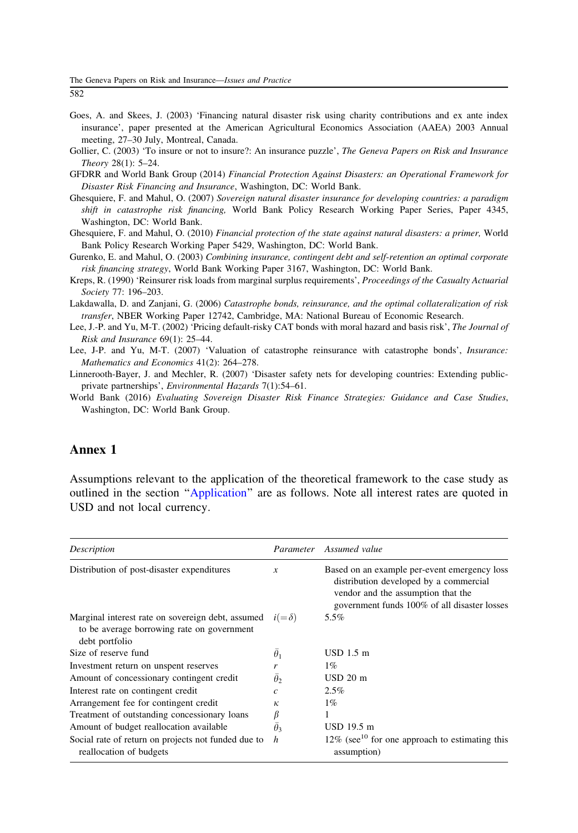```
582
```
- Goes, A. and Skees, J. (2003) 'Financing natural disaster risk using charity contributions and ex ante index insurance', paper presented at the American Agricultural Economics Association (AAEA) 2003 Annual meeting, 27–30 July, Montreal, Canada.
- Gollier, C. (2003) 'To insure or not to insure?: An insurance puzzle', The Geneva Papers on Risk and Insurance Theory 28(1): 5–24.
- GFDRR and World Bank Group (2014) Financial Protection Against Disasters: an Operational Framework for Disaster Risk Financing and Insurance, Washington, DC: World Bank.
- Ghesquiere, F. and Mahul, O. (2007) Sovereign natural disaster insurance for developing countries: a paradigm shift in catastrophe risk financing, World Bank Policy Research Working Paper Series, Paper 4345, Washington, DC: World Bank.
- Ghesquiere, F. and Mahul, O. (2010) Financial protection of the state against natural disasters: a primer, World Bank Policy Research Working Paper 5429, Washington, DC: World Bank.
- Gurenko, E. and Mahul, O. (2003) Combining insurance, contingent debt and self-retention an optimal corporate risk financing strategy, World Bank Working Paper 3167, Washington, DC: World Bank.
- Kreps, R. (1990) 'Reinsurer risk loads from marginal surplus requirements', Proceedings of the Casualty Actuarial Society 77: 196–203.
- Lakdawalla, D. and Zanjani, G. (2006) Catastrophe bonds, reinsurance, and the optimal collateralization of risk transfer, NBER Working Paper 12742, Cambridge, MA: National Bureau of Economic Research.
- Lee, J.-P. and Yu, M-T. (2002) 'Pricing default-risky CAT bonds with moral hazard and basis risk', The Journal of Risk and Insurance 69(1): 25–44.
- Lee, J-P. and Yu, M-T. (2007) 'Valuation of catastrophe reinsurance with catastrophe bonds', Insurance: Mathematics and Economics 41(2): 264–278.
- Linnerooth-Bayer, J. and Mechler, R. (2007) 'Disaster safety nets for developing countries: Extending publicprivate partnerships', Environmental Hazards 7(1):54–61.
- World Bank (2016) Evaluating Sovereign Disaster Risk Finance Strategies: Guidance and Case Studies, Washington, DC: World Bank Group.

#### Annex 1

Assumptions relevant to the application of the theoretical framework to the case study as outlined in the section ''[Application'](#page-11-0)' are as follows. Note all interest rates are quoted in USD and not local currency.

| Description                                                                                                       |                     | Parameter Assumed value                                                                                                                                                      |
|-------------------------------------------------------------------------------------------------------------------|---------------------|------------------------------------------------------------------------------------------------------------------------------------------------------------------------------|
| Distribution of post-disaster expenditures                                                                        | $\boldsymbol{x}$    | Based on an example per-event emergency loss<br>distribution developed by a commercial<br>vendor and the assumption that the<br>government funds 100% of all disaster losses |
| Marginal interest rate on sovereign debt, assumed<br>to be average borrowing rate on government<br>debt portfolio | $i(=\delta)$        | 5.5%                                                                                                                                                                         |
| Size of reserve fund                                                                                              | $\theta_1$          | USD 1.5 m                                                                                                                                                                    |
| Investment return on unspent reserves                                                                             | r                   | $1\%$                                                                                                                                                                        |
| Amount of concessionary contingent credit                                                                         | $\overline{\theta}$ | USD 20 m                                                                                                                                                                     |
| Interest rate on contingent credit                                                                                | c                   | 2.5%                                                                                                                                                                         |
| Arrangement fee for contingent credit                                                                             | к                   | $1\%$                                                                                                                                                                        |
| Treatment of outstanding concessionary loans                                                                      | β                   | 1                                                                                                                                                                            |
| Amount of budget reallocation available                                                                           | $\bar{\theta}_3$    | USD 19.5 m                                                                                                                                                                   |
| Social rate of return on projects not funded due to<br>reallocation of budgets                                    | h                   | $12\%$ (see <sup>10</sup> for one approach to estimating this<br>assumption)                                                                                                 |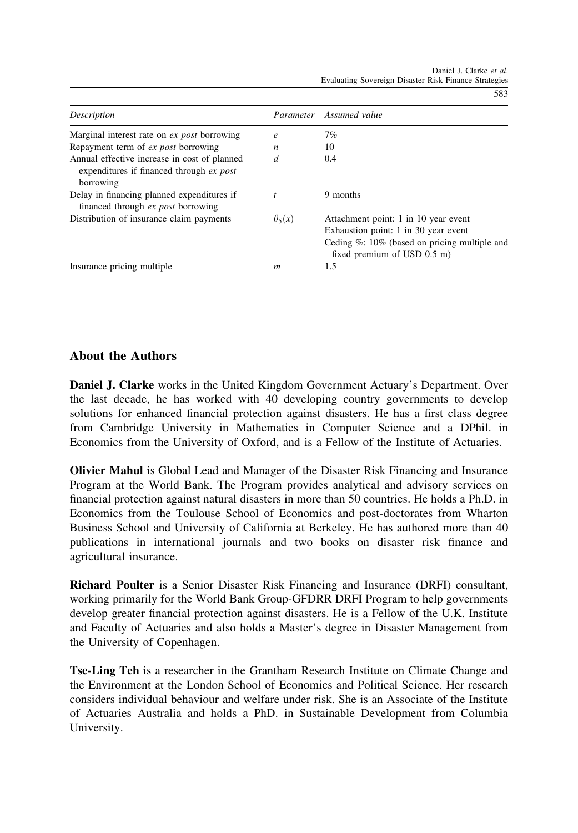Daniel J. Clarke et al. Evaluating Sovereign Disaster Risk Finance Strategies

|                                                                                                       |                  | JUJ.                                                                                                                                                              |
|-------------------------------------------------------------------------------------------------------|------------------|-------------------------------------------------------------------------------------------------------------------------------------------------------------------|
| Description                                                                                           | Parameter        | Assumed value                                                                                                                                                     |
| Marginal interest rate on <i>ex post</i> borrowing                                                    | $\boldsymbol{e}$ | 7%                                                                                                                                                                |
| Repayment term of ex post borrowing                                                                   | n                | 10                                                                                                                                                                |
| Annual effective increase in cost of planned<br>expenditures if financed through ex post<br>borrowing | d                | 0.4                                                                                                                                                               |
| Delay in financing planned expenditures if<br>financed through ex post borrowing                      |                  | 9 months                                                                                                                                                          |
| Distribution of insurance claim payments                                                              | $\theta_5(x)$    | Attachment point: 1 in 10 year event<br>Exhaustion point: 1 in 30 year event<br>Ceding $\%$ : 10% (based on pricing multiple and<br>fixed premium of USD $0.5$ m) |
| Insurance pricing multiple                                                                            | $\boldsymbol{m}$ | 1.5                                                                                                                                                               |

## About the Authors

Daniel J. Clarke works in the United Kingdom Government Actuary's Department. Over the last decade, he has worked with 40 developing country governments to develop solutions for enhanced financial protection against disasters. He has a first class degree from Cambridge University in Mathematics in Computer Science and a DPhil. in Economics from the University of Oxford, and is a Fellow of the Institute of Actuaries.

Olivier Mahul is Global Lead and Manager of the Disaster Risk Financing and Insurance Program at the World Bank. The Program provides analytical and advisory services on financial protection against natural disasters in more than 50 countries. He holds a Ph.D. in Economics from the Toulouse School of Economics and post-doctorates from Wharton Business School and University of California at Berkeley. He has authored more than 40 publications in international journals and two books on disaster risk finance and agricultural insurance.

Richard Poulter is a Senior Disaster Risk Financing and Insurance (DRFI) consultant, working primarily for the World Bank Group-GFDRR DRFI Program to help governments develop greater financial protection against disasters. He is a Fellow of the U.K. Institute and Faculty of Actuaries and also holds a Master's degree in Disaster Management from the University of Copenhagen.

Tse-Ling Teh is a researcher in the Grantham Research Institute on Climate Change and the Environment at the London School of Economics and Political Science. Her research considers individual behaviour and welfare under risk. She is an Associate of the Institute of Actuaries Australia and holds a PhD. in Sustainable Development from Columbia University.